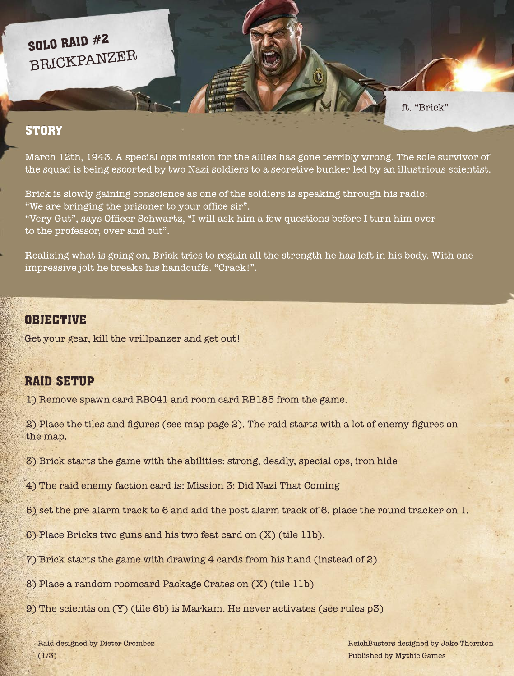March 12th, 1943. A special ops mission for the allies has gone terribly wrong. The sole survivor of the squad is being escorted by two Nazi soldiers to a secretive bunker led by an illustrious scientist.

Brick is slowly gaining conscience as one of the soldiers is speaking through his radio: "We are bringing the prisoner to your office sir". "Very Gut", says Officer Schwartz, "I will ask him a few questions before I turn him over to the professor, over and out".

Raid designed by Dieter Crombez  $(1/3)$ 

Realizing what is going on, Brick tries to regain all the strength he has left in his body. With one impressive jolt he breaks his handcuffs. "Crack!".

Get your gear, kill the vrillpanzer and get out!

ReichBusters designed by Jake Thornton Published by Mythic Games

1) Remove spawn card RB041 and room card RB185 from the game.

2) Place the tiles and figures (see map page 2). The raid starts with a lot of enemy figures on the map.

3) Brick starts the game with the abilities: strong, deadly, special ops, iron hide

4) The raid enemy faction card is: Mission 3: Did Nazi That Coming

5) set the pre alarm track to 6 and add the post alarm track of 6. place the round tracker on 1.

6) Place Bricks two guns and his two feat card on (X) (tile 11b).

7) Brick starts the game with drawing 4 cards from his hand (instead of 2)

8) Place a random roomcard Package Crates on (X) (tile 11b)

9) The scientis on (Y) (tile 6b) is Markam. He never activates (see rules p3)

ft. "Brick"

# BRICKPANZER SOLO RAID #2

**STORY** 

### OBJECTIVE

## RAID SETUP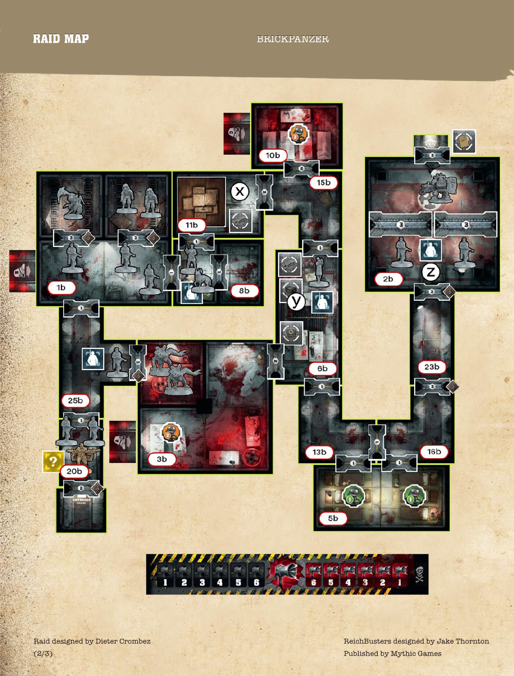## RAID MAP BRICKPANZER





Raid designed by Dieter Crombez  $(2/3)$ 

ReichBusters designed by Jake Thornton Published by Mythic Games